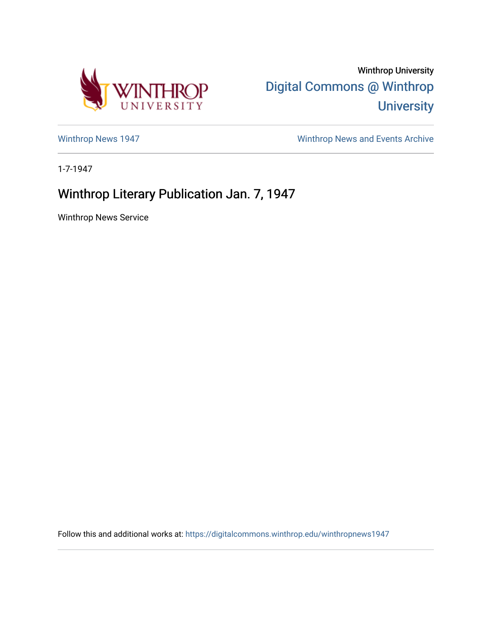

Winthrop University [Digital Commons @ Winthrop](https://digitalcommons.winthrop.edu/)  **University** 

[Winthrop News 1947](https://digitalcommons.winthrop.edu/winthropnews1947) **Winthrop News Archive** 

1-7-1947

## Winthrop Literary Publication Jan. 7, 1947

Winthrop News Service

Follow this and additional works at: [https://digitalcommons.winthrop.edu/winthropnews1947](https://digitalcommons.winthrop.edu/winthropnews1947?utm_source=digitalcommons.winthrop.edu%2Fwinthropnews1947%2F18&utm_medium=PDF&utm_campaign=PDFCoverPages)